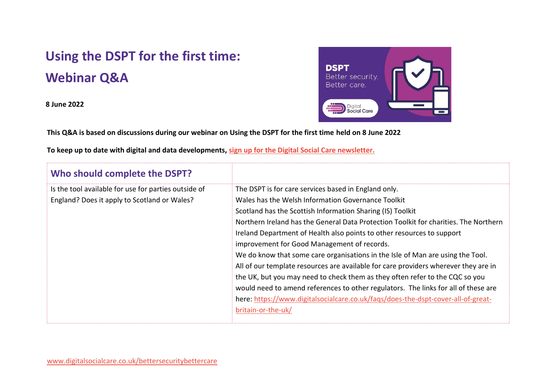## **Using the DSPT for the first time: Webinar Q&A**

**8 June 2022**



**This Q&A is based on discussions during our webinar on Using the DSPT for the first time held on 8 June 2022**

**To keep up to date with digital and data developments, [sign up for the Digital Social Care newsletter.](https://www.digitalsocialcare.co.uk/newsletter-signup/)**

| Who should complete the DSPT?                        |                                                                                      |
|------------------------------------------------------|--------------------------------------------------------------------------------------|
| Is the tool available for use for parties outside of | The DSPT is for care services based in England only.                                 |
| England? Does it apply to Scotland or Wales?         | Wales has the Welsh Information Governance Toolkit                                   |
|                                                      | Scotland has the Scottish Information Sharing (IS) Toolkit                           |
|                                                      | Northern Ireland has the General Data Protection Toolkit for charities. The Northern |
|                                                      | Ireland Department of Health also points to other resources to support               |
|                                                      | improvement for Good Management of records.                                          |
|                                                      | We do know that some care organisations in the Isle of Man are using the Tool.       |
|                                                      | All of our template resources are available for care providers wherever they are in  |
|                                                      | the UK, but you may need to check them as they often refer to the CQC so you         |
|                                                      | would need to amend references to other regulators. The links for all of these are   |
|                                                      | here: https://www.digitalsocialcare.co.uk/faqs/does-the-dspt-cover-all-of-great-     |
|                                                      | britain-or-the-uk/                                                                   |
|                                                      |                                                                                      |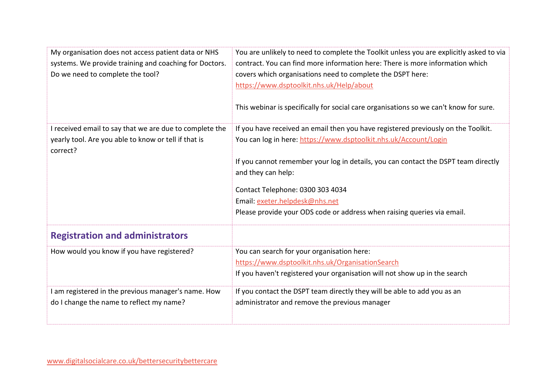| My organisation does not access patient data or NHS<br>systems. We provide training and coaching for Doctors.<br>Do we need to complete the tool? | You are unlikely to need to complete the Toolkit unless you are explicitly asked to via<br>contract. You can find more information here: There is more information which<br>covers which organisations need to complete the DSPT here:<br>https://www.dsptoolkit.nhs.uk/Help/about<br>This webinar is specifically for social care organisations so we can't know for sure.                                        |
|---------------------------------------------------------------------------------------------------------------------------------------------------|--------------------------------------------------------------------------------------------------------------------------------------------------------------------------------------------------------------------------------------------------------------------------------------------------------------------------------------------------------------------------------------------------------------------|
| I received email to say that we are due to complete the<br>yearly tool. Are you able to know or tell if that is<br>correct?                       | If you have received an email then you have registered previously on the Toolkit.<br>You can log in here: https://www.dsptoolkit.nhs.uk/Account/Login<br>If you cannot remember your log in details, you can contact the DSPT team directly<br>and they can help:<br>Contact Telephone: 0300 303 4034<br>Email: exeter.helpdesk@nhs.net<br>Please provide your ODS code or address when raising queries via email. |
| <b>Registration and administrators</b>                                                                                                            |                                                                                                                                                                                                                                                                                                                                                                                                                    |
| How would you know if you have registered?                                                                                                        | You can search for your organisation here:<br>https://www.dsptoolkit.nhs.uk/OrganisationSearch<br>If you haven't registered your organisation will not show up in the search                                                                                                                                                                                                                                       |
| I am registered in the previous manager's name. How<br>do I change the name to reflect my name?                                                   | If you contact the DSPT team directly they will be able to add you as an<br>administrator and remove the previous manager                                                                                                                                                                                                                                                                                          |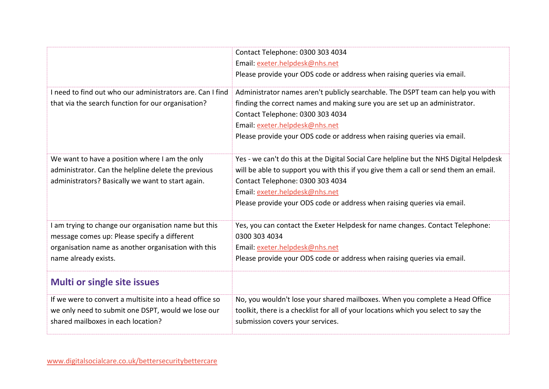|                                                           | Contact Telephone: 0300 303 4034                                                        |
|-----------------------------------------------------------|-----------------------------------------------------------------------------------------|
|                                                           | Email: exeter.helpdesk@nhs.net                                                          |
|                                                           | Please provide your ODS code or address when raising queries via email.                 |
| I need to find out who our administrators are. Can I find | Administrator names aren't publicly searchable. The DSPT team can help you with         |
| that via the search function for our organisation?        | finding the correct names and making sure you are set up an administrator.              |
|                                                           | Contact Telephone: 0300 303 4034                                                        |
|                                                           | Email: exeter.helpdesk@nhs.net                                                          |
|                                                           | Please provide your ODS code or address when raising queries via email.                 |
|                                                           |                                                                                         |
| We want to have a position where I am the only            | Yes - we can't do this at the Digital Social Care helpline but the NHS Digital Helpdesk |
| administrator. Can the helpline delete the previous       | will be able to support you with this if you give them a call or send them an email.    |
| administrators? Basically we want to start again.         | Contact Telephone: 0300 303 4034                                                        |
|                                                           | Email: exeter.helpdesk@nhs.net                                                          |
|                                                           | Please provide your ODS code or address when raising queries via email.                 |
|                                                           |                                                                                         |
| I am trying to change our organisation name but this      | Yes, you can contact the Exeter Helpdesk for name changes. Contact Telephone:           |
| message comes up: Please specify a different              | 0300 303 4034                                                                           |
| organisation name as another organisation with this       | Email: exeter.helpdesk@nhs.net                                                          |
| name already exists.                                      | Please provide your ODS code or address when raising queries via email.                 |
| <b>Multi or single site issues</b>                        |                                                                                         |
| If we were to convert a multisite into a head office so   | No, you wouldn't lose your shared mailboxes. When you complete a Head Office            |
| we only need to submit one DSPT, would we lose our        | toolkit, there is a checklist for all of your locations which you select to say the     |
| shared mailboxes in each location?                        | submission covers your services.                                                        |
|                                                           |                                                                                         |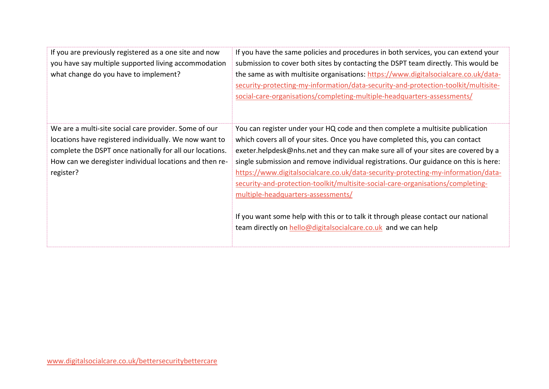| If you are previously registered as a one site and now<br>you have say multiple supported living accommodation<br>what change do you have to implement?                                                                                             | If you have the same policies and procedures in both services, you can extend your<br>submission to cover both sites by contacting the DSPT team directly. This would be<br>the same as with multisite organisations: https://www.digitalsocialcare.co.uk/data-<br>security-protecting-my-information/data-security-and-protection-toolkit/multisite-<br>social-care-organisations/completing-multiple-headquarters-assessments/                                                                                                                                                                                                                                                                                 |
|-----------------------------------------------------------------------------------------------------------------------------------------------------------------------------------------------------------------------------------------------------|------------------------------------------------------------------------------------------------------------------------------------------------------------------------------------------------------------------------------------------------------------------------------------------------------------------------------------------------------------------------------------------------------------------------------------------------------------------------------------------------------------------------------------------------------------------------------------------------------------------------------------------------------------------------------------------------------------------|
| We are a multi-site social care provider. Some of our<br>locations have registered individually. We now want to<br>complete the DSPT once nationally for all our locations.<br>How can we deregister individual locations and then re-<br>register? | You can register under your HQ code and then complete a multisite publication<br>which covers all of your sites. Once you have completed this, you can contact<br>exeter.helpdesk@nhs.net and they can make sure all of your sites are covered by a<br>single submission and remove individual registrations. Our guidance on this is here:<br>https://www.digitalsocialcare.co.uk/data-security-protecting-my-information/data-<br>security-and-protection-toolkit/multisite-social-care-organisations/completing-<br>multiple-headquarters-assessments/<br>If you want some help with this or to talk it through please contact our national<br>team directly on hello@digitalsocialcare.co.uk and we can help |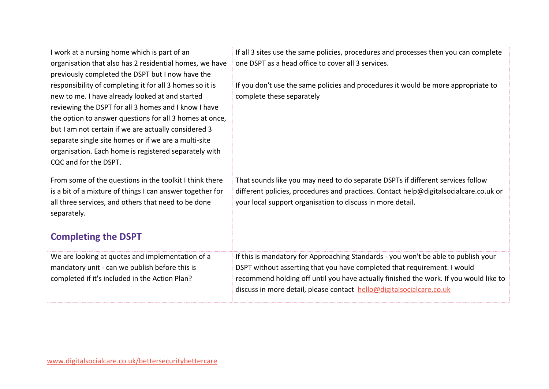| I work at a nursing home which is part of an<br>organisation that also has 2 residential homes, we have<br>previously completed the DSPT but I now have the                                                                                                                                                                                                                                                                      | If all 3 sites use the same policies, procedures and processes then you can complete<br>one DSPT as a head office to cover all 3 services.                                                                                                                                                                                      |
|----------------------------------------------------------------------------------------------------------------------------------------------------------------------------------------------------------------------------------------------------------------------------------------------------------------------------------------------------------------------------------------------------------------------------------|---------------------------------------------------------------------------------------------------------------------------------------------------------------------------------------------------------------------------------------------------------------------------------------------------------------------------------|
| responsibility of completing it for all 3 homes so it is<br>new to me. I have already looked at and started<br>reviewing the DSPT for all 3 homes and I know I have<br>the option to answer questions for all 3 homes at once,<br>but I am not certain if we are actually considered 3<br>separate single site homes or if we are a multi-site<br>organisation. Each home is registered separately with<br>CQC and for the DSPT. | If you don't use the same policies and procedures it would be more appropriate to<br>complete these separately                                                                                                                                                                                                                  |
| From some of the questions in the toolkit I think there<br>is a bit of a mixture of things I can answer together for<br>all three services, and others that need to be done<br>separately.                                                                                                                                                                                                                                       | That sounds like you may need to do separate DSPTs if different services follow<br>different policies, procedures and practices. Contact help@digitalsocialcare.co.uk or<br>your local support organisation to discuss in more detail.                                                                                          |
| <b>Completing the DSPT</b>                                                                                                                                                                                                                                                                                                                                                                                                       |                                                                                                                                                                                                                                                                                                                                 |
| We are looking at quotes and implementation of a<br>mandatory unit - can we publish before this is<br>completed if it's included in the Action Plan?                                                                                                                                                                                                                                                                             | If this is mandatory for Approaching Standards - you won't be able to publish your<br>DSPT without asserting that you have completed that requirement. I would<br>recommend holding off until you have actually finished the work. If you would like to<br>discuss in more detail, please contact hello@digitalsocialcare.co.uk |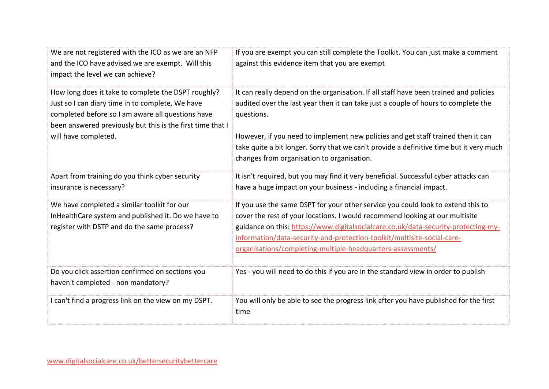| We are not registered with the ICO as we are an NFP<br>and the ICO have advised we are exempt. Will this<br>impact the level we can achieve?                                                                               | If you are exempt you can still complete the Toolkit. You can just make a comment<br>against this evidence item that you are exempt                                                                                                                                                                                                                                                              |
|----------------------------------------------------------------------------------------------------------------------------------------------------------------------------------------------------------------------------|--------------------------------------------------------------------------------------------------------------------------------------------------------------------------------------------------------------------------------------------------------------------------------------------------------------------------------------------------------------------------------------------------|
| How long does it take to complete the DSPT roughly?<br>Just so I can diary time in to complete, We have<br>completed before so I am aware all questions have<br>been answered previously but this is the first time that I | It can really depend on the organisation. If all staff have been trained and policies<br>audited over the last year then it can take just a couple of hours to complete the<br>questions.                                                                                                                                                                                                        |
| will have completed.                                                                                                                                                                                                       | However, if you need to implement new policies and get staff trained then it can<br>take quite a bit longer. Sorry that we can't provide a definitive time but it very much<br>changes from organisation to organisation.                                                                                                                                                                        |
| Apart from training do you think cyber security<br>insurance is necessary?                                                                                                                                                 | It isn't required, but you may find it very beneficial. Successful cyber attacks can<br>have a huge impact on your business - including a financial impact.                                                                                                                                                                                                                                      |
| We have completed a similar toolkit for our<br>InHealthCare system and published it. Do we have to<br>register with DSTP and do the same process?                                                                          | If you use the same DSPT for your other service you could look to extend this to<br>cover the rest of your locations. I would recommend looking at our multisite<br>guidance on this: https://www.digitalsocialcare.co.uk/data-security-protecting-my-<br>information/data-security-and-protection-toolkit/multisite-social-care-<br>organisations/completing-multiple-headquarters-assessments/ |
| Do you click assertion confirmed on sections you<br>haven't completed - non mandatory?                                                                                                                                     | Yes - you will need to do this if you are in the standard view in order to publish                                                                                                                                                                                                                                                                                                               |
| I can't find a progress link on the view on my DSPT.                                                                                                                                                                       | You will only be able to see the progress link after you have published for the first<br>time                                                                                                                                                                                                                                                                                                    |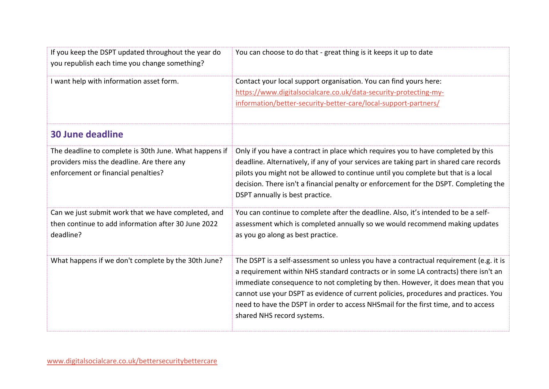| If you keep the DSPT updated throughout the year do<br>you republish each time you change something?                                        | You can choose to do that - great thing is it keeps it up to date                                                                                                                                                                                                                                                                                                                                                                                                           |
|---------------------------------------------------------------------------------------------------------------------------------------------|-----------------------------------------------------------------------------------------------------------------------------------------------------------------------------------------------------------------------------------------------------------------------------------------------------------------------------------------------------------------------------------------------------------------------------------------------------------------------------|
| I want help with information asset form.                                                                                                    | Contact your local support organisation. You can find yours here:<br>https://www.digitalsocialcare.co.uk/data-security-protecting-my-<br>information/better-security-better-care/local-support-partners/                                                                                                                                                                                                                                                                    |
| <b>30 June deadline</b>                                                                                                                     |                                                                                                                                                                                                                                                                                                                                                                                                                                                                             |
| The deadline to complete is 30th June. What happens if<br>providers miss the deadline. Are there any<br>enforcement or financial penalties? | Only if you have a contract in place which requires you to have completed by this<br>deadline. Alternatively, if any of your services are taking part in shared care records<br>pilots you might not be allowed to continue until you complete but that is a local<br>decision. There isn't a financial penalty or enforcement for the DSPT. Completing the<br>DSPT annually is best practice.                                                                              |
| Can we just submit work that we have completed, and<br>then continue to add information after 30 June 2022<br>deadline?                     | You can continue to complete after the deadline. Also, it's intended to be a self-<br>assessment which is completed annually so we would recommend making updates<br>as you go along as best practice.                                                                                                                                                                                                                                                                      |
| What happens if we don't complete by the 30th June?                                                                                         | The DSPT is a self-assessment so unless you have a contractual requirement (e.g. it is<br>a requirement within NHS standard contracts or in some LA contracts) there isn't an<br>immediate consequence to not completing by then. However, it does mean that you<br>cannot use your DSPT as evidence of current policies, procedures and practices. You<br>need to have the DSPT in order to access NHSmail for the first time, and to access<br>shared NHS record systems. |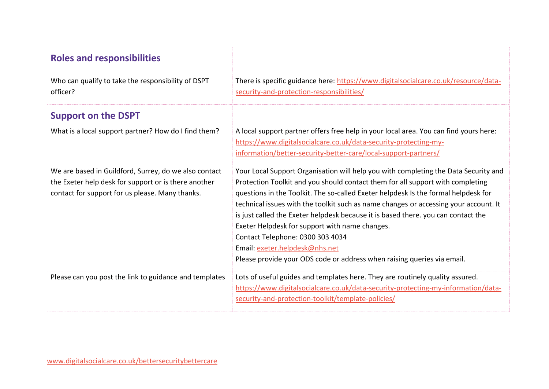| <b>Roles and responsibilities</b>                                                                                                                                |                                                                                                                                                                                                                                                                                                                                                                                                                                                                                                                                                                                                                                             |
|------------------------------------------------------------------------------------------------------------------------------------------------------------------|---------------------------------------------------------------------------------------------------------------------------------------------------------------------------------------------------------------------------------------------------------------------------------------------------------------------------------------------------------------------------------------------------------------------------------------------------------------------------------------------------------------------------------------------------------------------------------------------------------------------------------------------|
| Who can qualify to take the responsibility of DSPT<br>officer?                                                                                                   | There is specific guidance here: https://www.digitalsocialcare.co.uk/resource/data-<br>security-and-protection-responsibilities/                                                                                                                                                                                                                                                                                                                                                                                                                                                                                                            |
| <b>Support on the DSPT</b>                                                                                                                                       |                                                                                                                                                                                                                                                                                                                                                                                                                                                                                                                                                                                                                                             |
| What is a local support partner? How do I find them?                                                                                                             | A local support partner offers free help in your local area. You can find yours here:<br>https://www.digitalsocialcare.co.uk/data-security-protecting-my-<br>information/better-security-better-care/local-support-partners/                                                                                                                                                                                                                                                                                                                                                                                                                |
| We are based in Guildford, Surrey, do we also contact<br>the Exeter help desk for support or is there another<br>contact for support for us please. Many thanks. | Your Local Support Organisation will help you with completing the Data Security and<br>Protection Toolkit and you should contact them for all support with completing<br>questions in the Toolkit. The so-called Exeter helpdesk Is the formal helpdesk for<br>technical issues with the toolkit such as name changes or accessing your account. It<br>is just called the Exeter helpdesk because it is based there. you can contact the<br>Exeter Helpdesk for support with name changes.<br>Contact Telephone: 0300 303 4034<br>Email: exeter.helpdesk@nhs.net<br>Please provide your ODS code or address when raising queries via email. |
| Please can you post the link to guidance and templates                                                                                                           | Lots of useful guides and templates here. They are routinely quality assured.<br>https://www.digitalsocialcare.co.uk/data-security-protecting-my-information/data-<br>security-and-protection-toolkit/template-policies/                                                                                                                                                                                                                                                                                                                                                                                                                    |